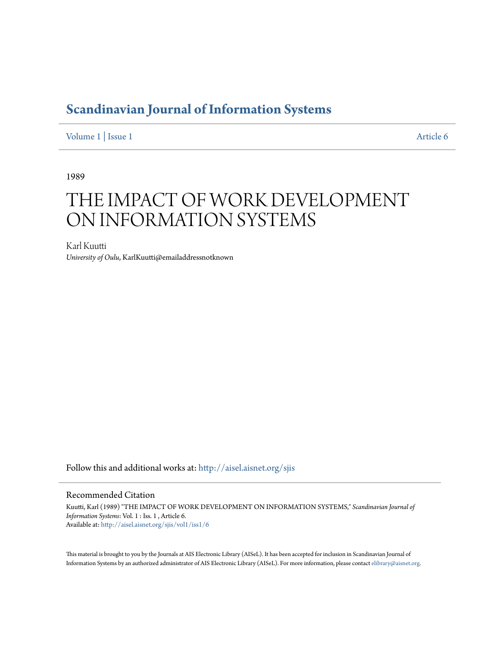## **[Scandinavian Journal of Information Systems](http://aisel.aisnet.org/sjis?utm_source=aisel.aisnet.org%2Fsjis%2Fvol1%2Fiss1%2F6&utm_medium=PDF&utm_campaign=PDFCoverPages)**

[Volume 1](http://aisel.aisnet.org/sjis/vol1?utm_source=aisel.aisnet.org%2Fsjis%2Fvol1%2Fiss1%2F6&utm_medium=PDF&utm_campaign=PDFCoverPages) | [Issue 1](http://aisel.aisnet.org/sjis/vol1/iss1?utm_source=aisel.aisnet.org%2Fsjis%2Fvol1%2Fiss1%2F6&utm_medium=PDF&utm_campaign=PDFCoverPages) [Article 6](http://aisel.aisnet.org/sjis/vol1/iss1/6?utm_source=aisel.aisnet.org%2Fsjis%2Fvol1%2Fiss1%2F6&utm_medium=PDF&utm_campaign=PDFCoverPages)

1989

# THE IMPACT OF WORK DEVELOPMENT ON INFORMATION SYSTEMS

Karl Kuutti *University of Oulu*, KarlKuutti@emailaddressnotknown

Follow this and additional works at: [http://aisel.aisnet.org/sjis](http://aisel.aisnet.org/sjis?utm_source=aisel.aisnet.org%2Fsjis%2Fvol1%2Fiss1%2F6&utm_medium=PDF&utm_campaign=PDFCoverPages)

## Recommended Citation

Kuutti, Karl (1989) "THE IMPACT OF WORK DEVELOPMENT ON INFORMATION SYSTEMS," *Scandinavian Journal of Information Systems*: Vol. 1 : Iss. 1 , Article 6. Available at: [http://aisel.aisnet.org/sjis/vol1/iss1/6](http://aisel.aisnet.org/sjis/vol1/iss1/6?utm_source=aisel.aisnet.org%2Fsjis%2Fvol1%2Fiss1%2F6&utm_medium=PDF&utm_campaign=PDFCoverPages)

This material is brought to you by the Journals at AIS Electronic Library (AISeL). It has been accepted for inclusion in Scandinavian Journal of Information Systems by an authorized administrator of AIS Electronic Library (AISeL). For more information, please contact [elibrary@aisnet.org.](mailto:elibrary@aisnet.org%3E)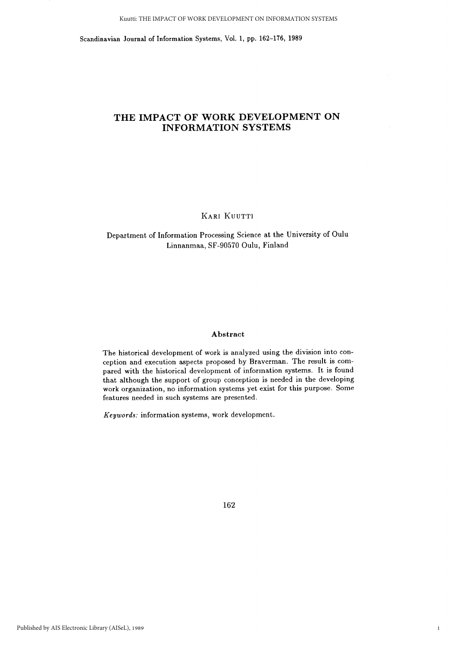Scandinavian Journal of Information Systems, Vol. 1, pp. 162-176, 1989

## THE IMPACT OF WORK DEVELOPMENT ON **INFORMATION SYSTEMS**

KARI KUUTTI

Department of Information Processing Science at the University of Oulu Linnanmaa, SF-90570 Oulu, Finland

### Abstract

The historical development of work is analyzed using the division into conception and execution aspects proposed by Braverman. The result is compared with the historical development of information systems. It is found that although the support of group conception is needed in the developing work organization, no information systems yet exist for this purpose. Some features needed in such systems are presented.

Keywords: information systems, work development.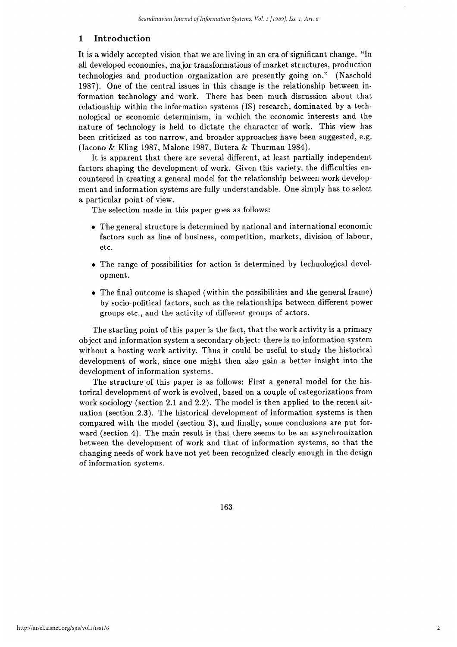#### $\mathbf{1}$ Introduction

It is a widely accepted vision that we are living in an era of significant change. "In all developed economies, major transformations of market structures, production technologies and production organization are presently going on." (Naschold 1987). One of the central issues in this change is the relationship between information technology and work. There has been much discussion about that relationship within the information systems (IS) research, dominated by a technological or economic determinism, in wohich the economic interests and the nature of technology is held to dictate the character of work. This view has been criticized as too narrow, and broader approaches have been suggested, e.g. (Iacono & Kling 1987, Malone 1987, Butera & Thurman 1984).

It is apparent that there are several different, at least partially independent factors shaping the development of work. Given this variety, the difficulties encountered in creating a general model for the relationship between work development and information systems are fully understandable. One simply has to select a particular point of view.

The selection made in this paper goes as follows:

- The general structure is determined by national and international economic factors such as line of business, competition, markets, division of labour, etc.
- The range of possibilities for action is determined by technological development.
- $\bullet$  The final outcome is shaped (within the possibilities and the general frame) by socio-political factors, such as the relationships between different power groups etc., and the activity of different groups of actors.

The starting point of this paper is the fact, that the work activity is a primary object and information system a secondary object: there is no information system without a hosting work activity. Thus it could be useful to study the historical development of work, since one might then also gain a better insight into the development of information systems.

The structure of this paper is as follows: First a general model for the historical development of work is evolved, based on a couple of categorizations from work sociology (section 2.1 and 2.2). The model is then applied to the recent situation (section 2.3). The historical development of information systems is then compared with the model (section 3), and finally, some conclusions are put forward (section 4). The main result is that there seems to be an asynchronization between the development of work and that of information systems, so that the changing needs of work have not yet been recognized clearly enough in the design of information systems.

163

 $\overline{2}$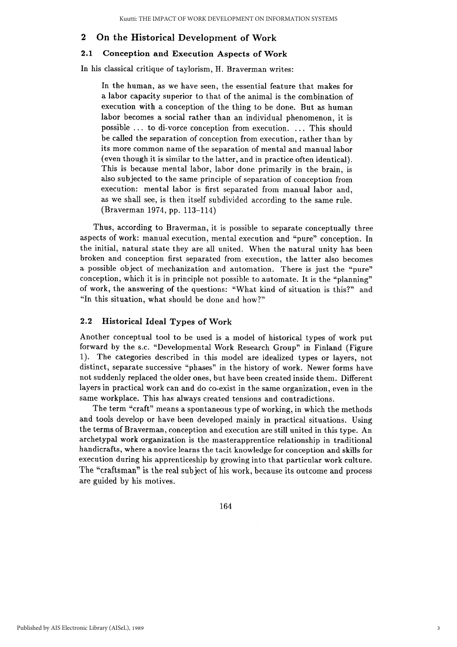#### $\boldsymbol{2}$ On the Historical Development of Work

#### $2.1$ **Conception and Execution Aspects of Work**

In his classical critique of taylorism, H. Braverman writes:

In the human, as we have seen, the essential feature that makes for a labor capacity superior to that of the animal is the combination of execution with a conception of the thing to be done. But as human labor becomes a social rather than an individual phenomenon, it is possible ... to di-vorce conception from execution. ... This should be called the separation of conception from execution, rather than by its more common name of the separation of mental and manual labor (even though it is similar to the latter, and in practice often identical). This is because mental labor, labor done primarily in the brain, is also subjected to the same principle of separation of conception from execution: mental labor is first separated from manual labor and, as we shall see, is then itself subdivided according to the same rule. (Braverman 1974, pp. 113-114)

Thus, according to Braverman, it is possible to separate conceptually three aspects of work: manual execution, mental execution and "pure" conception. In the initial, natural state they are all united. When the natural unity has been broken and conception first separated from execution, the latter also becomes a possible object of mechanization and automation. There is just the "pure" conception, which it is in principle not possible to automate. It is the "planning" of work, the answering of the questions: "What kind of situation is this?" and "In this situation, what should be done and how?"

#### $2.2$ **Historical Ideal Types of Work**

Another conceptual tool to be used is a model of historical types of work put forward by the s.c. "Developmental Work Research Group" in Finland (Figure 1). The categories described in this model are idealized types or layers, not distinct, separate successive "phases" in the history of work. Newer forms have not suddenly replaced the older ones, but have been created inside them. Different layers in practical work can and do co-exist in the same organization, even in the same workplace. This has always created tensions and contradictions.

The term "craft" means a spontaneous type of working, in which the methods and tools develop or have been developed mainly in practical situations. Using the terms of Braverman, conception and execution are still united in this type. An archetypal work organization is the master apprentice relationship in traditional handicrafts, where a novice learns the tacit knowledge for conception and skills for execution during his apprenticeship by growing into that particular work culture. The "craftsman" is the real subject of his work, because its outcome and process are guided by his motives.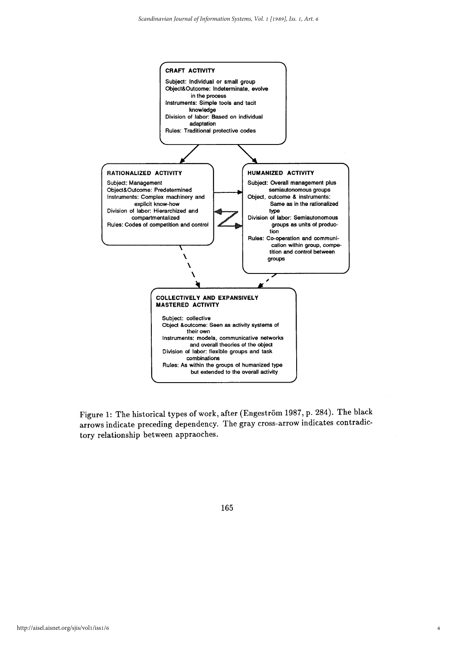

Figure 1: The historical types of work, after (Engeström 1987, p. 284). The black arrows indicate preceding dependency. The gray cross-arrow indicates contradictory relationship between appraoches.

165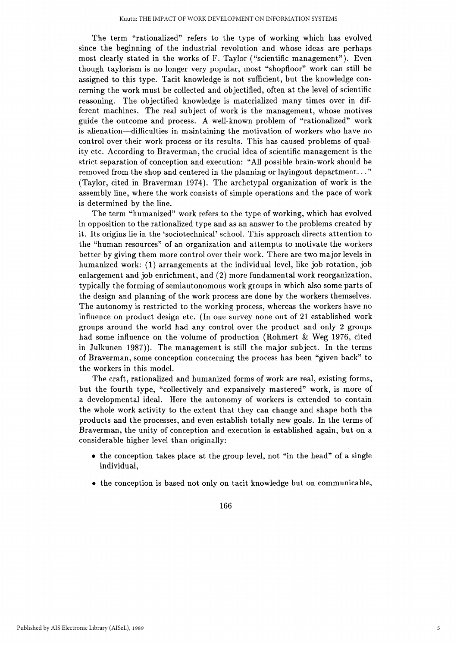The term "rationalized" refers to the type of working which has evolved since the beginning of the industrial revolution and whose ideas are perhaps most clearly stated in the works of F. Taylor ("scientific management"). Even though taylorism is no longer very popular, most "shopfloor" work can still be assigned to this type. Tacit knowledge is not sufficient, but the knowledge concerning the work must be collected and objectified, often at the level of scientific reasoning. The objectified knowledge is materialized many times over in different machines. The real subject of work is the management, whose motives guide the outcome and process. A well-known problem of "rationalized" work is alienation—difficulties in maintaining the motivation of workers who have no control over their work process or its results. This has caused problems of quality etc. According to Braverman, the crucial idea of scientific management is the strict separation of conception and execution: "All possible brain-work should be removed from the shop and centered in the planning or layingout department..." (Taylor, cited in Braverman 1974). The archetypal organization of work is the assembly line, where the work consists of simple operations and the pace of work is determined by the line.

The term "humanized" work refers to the type of working, which has evolved in opposition to the rationalized type and as an answer to the problems created by it. Its origins lie in the 'sociotechnical' school. This approach directs attention to the "human resources" of an organization and attempts to motivate the workers better by giving them more control over their work. There are two major levels in humanized work: (1) arrangements at the individual level, like job rotation, job enlargement and job enrichment, and (2) more fundamental work reorganization, typically the forming of semiautonomous work groups in which also some parts of the design and planning of the work process are done by the workers themselves. The autonomy is restricted to the working process, whereas the workers have no influence on product design etc. (In one survey none out of 21 established work groups around the world had any control over the product and only 2 groups had some influence on the volume of production (Rohmert & Weg 1976, cited in Julkunen 1987). The management is still the major subject. In the terms of Braverman, some conception concerning the process has been "given back" to the workers in this model.

The craft, rationalized and humanized forms of work are real, existing forms, but the fourth type, "collectively and expansively mastered" work, is more of a developmental ideal. Here the autonomy of workers is extended to contain the whole work activity to the extent that they can change and shape both the products and the processes, and even establish totally new goals. In the terms of Braverman, the unity of conception and execution is established again, but on a considerable higher level than originally:

- the conception takes place at the group level, not "in the head" of a single individual,
- the conception is based not only on tacit knowledge but on communicable,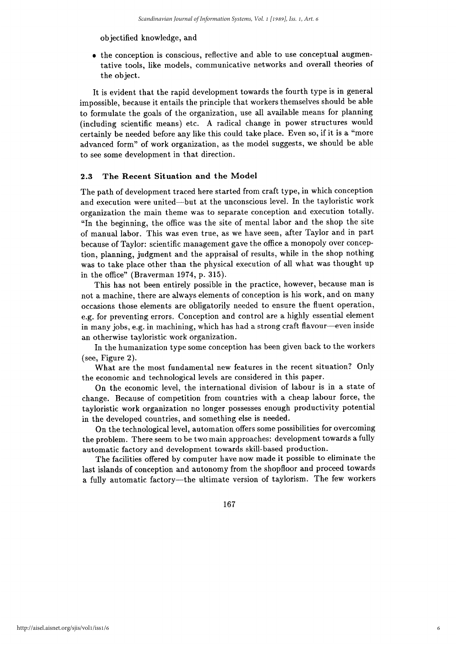objectified knowledge, and

• the conception is conscious, reflective and able to use conceptual augmentative tools, like models, communicative networks and overall theories of the object.

It is evident that the rapid development towards the fourth type is in general impossible, because it entails the principle that workers themselves should be able to formulate the goals of the organization, use all available means for planning (including scientific means) etc. A radical change in power structures would certainly be needed before any like this could take place. Even so, if it is a "more advanced form" of work organization, as the model suggests, we should be able to see some development in that direction.

#### The Recent Situation and the Model  $2.3$

The path of development traced here started from craft type, in which conception and execution were united-but at the unconscious level. In the tayloristic work organization the main theme was to separate conception and execution totally. "In the beginning, the office was the site of mental labor and the shop the site of manual labor. This was even true, as we have seen, after Taylor and in part because of Taylor: scientific management gave the office a monopoly over conception, planning, judgment and the appraisal of results, while in the shop nothing was to take place other than the physical execution of all what was thought up in the office" (Braverman 1974, p. 315).

This has not been entirely possible in the practice, however, because man is not a machine, there are always elements of conception is his work, and on many occasions those elements are obligatorily needed to ensure the fluent operation, e.g. for preventing errors. Conception and control are a highly essential element in many jobs, e.g. in machining, which has had a strong craft flavour—even inside an otherwise tayloristic work organization.

In the humanization type some conception has been given back to the workers (see, Figure 2).

What are the most fundamental new features in the recent situation? Only the economic and technological levels are considered in this paper.

On the economic level, the international division of labour is in a state of change. Because of competition from countries with a cheap labour force, the tayloristic work organization no longer possesses enough productivity potential in the developed countries, and something else is needed.

On the technological level, automation offers some possibilities for overcoming the problem. There seem to be two main approaches: development towards a fully automatic factory and development towards skill-based production.

The facilities offered by computer have now made it possible to eliminate the last islands of conception and autonomy from the shopfloor and proceed towards a fully automatic factory-the ultimate version of taylorism. The few workers

167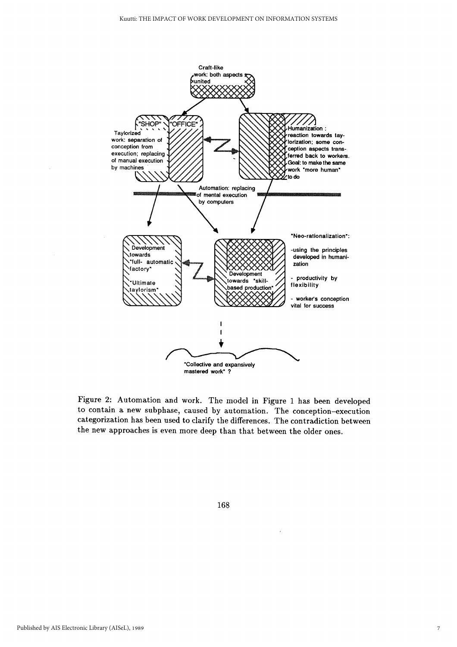

Figure 2: Automation and work. The model in Figure 1 has been developed to contain a new subphase, caused by automation. The conception-execution categorization has been used to clarify the differences. The contradiction between the new approaches is even more deep than that between the older ones.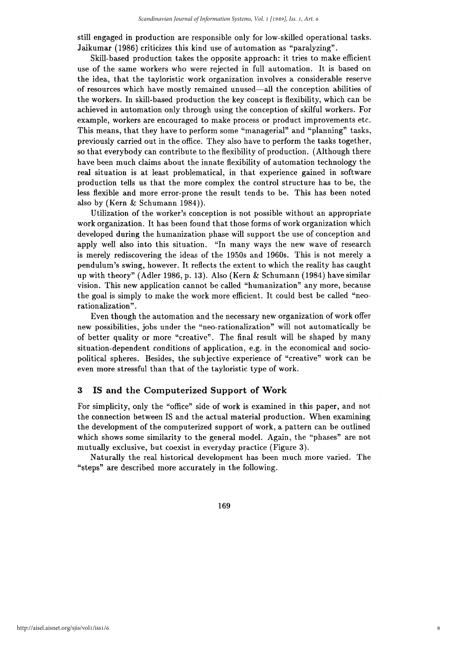still engaged in production are responsible only for low-skilled operational tasks. Jaikumar (1986) criticizes this kind use of automation as "paralyzing".

Skill-based production takes the opposite approach: it tries to make efficient use of the same workers who were rejected in full automation. It is based on the idea, that the tayloristic work organization involves a considerable reserve of resources which have mostly remained unused—all the conception abilities of the workers. In skill-based production the key concept is flexibility, which can be achieved in automation only through using the conception of skilful workers. For example, workers are encouraged to make process or product improvements etc. This means, that they have to perform some "managerial" and "planning" tasks, previously carried out in the office. They also have to perform the tasks together, so that everybody can contribute to the flexibility of production. (Although there have been much claims about the innate flexibility of automation technology the real situation is at least problematical, in that experience gained in software production tells us that the more complex the control structure has to be, the less flexible and more error-prone the result tends to be. This has been noted also by (Kern & Schumann 1984)).

Utilization of the worker's conception is not possible without an appropriate work organization. It has been found that those forms of work organization which developed during the humanization phase will support the use of conception and apply well also into this situation. "In many ways the new wave of research is merely rediscovering the ideas of the 1950s and 1960s. This is not merely a pendulum's swing, however. It reflects the extent to which the reality has caught up with theory" (Adler 1986, p. 13). Also (Kern & Schumann (1984) have similar vision. This new application cannot be called "humanization" any more, because the goal is simply to make the work more efficient. It could best be called "neorationalization".

Even though the automation and the necessary new organization of work offer new possibilities, jobs under the "neo-rationalization" will not automatically be of better quality or more "creative". The final result will be shaped by many situation-dependent conditions of application, e.g. in the economical and sociopolitical spheres. Besides, the subjective experience of "creative" work can be even more stressful than that of the tayloristic type of work.

#### $\bf{3}$ IS and the Computerized Support of Work

For simplicity, only the "office" side of work is examined in this paper, and not the connection between IS and the actual material production. When examining the development of the computerized support of work, a pattern can be outlined which shows some similarity to the general model. Again, the "phases" are not mutually exclusive, but coexist in everyday practice (Figure 3).

Naturally the real historical development has been much more varied. The "steps" are described more accurately in the following.

169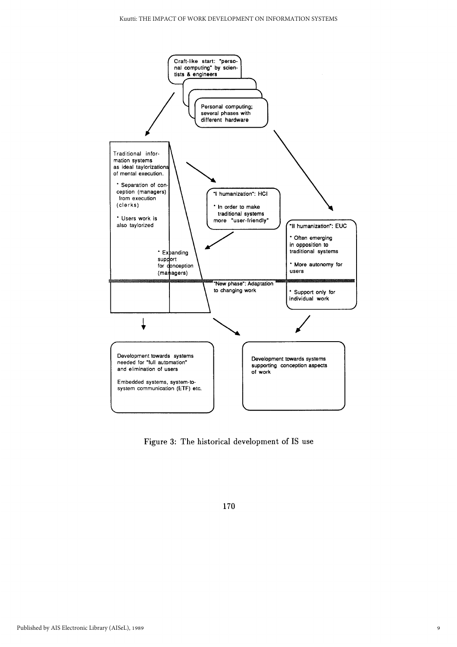

Figure 3: The historical development of IS use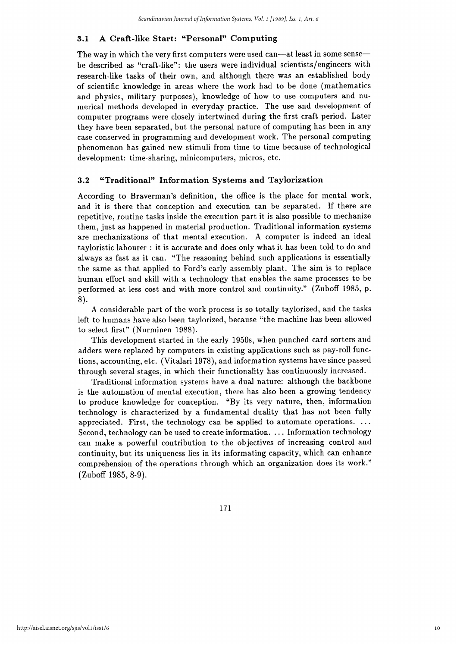#### A Craft-like Start: "Personal" Computing  $3.1$

The way in which the very first computers were used can—at least in some sense be described as "craft-like"; the users were individual scientists/engineers with research-like tasks of their own, and although there was an established body of scientific knowledge in areas where the work had to be done (mathematics) and physics, military purposes), knowledge of how to use computers and numerical methods developed in everyday practice. The use and development of computer programs were closely intertwined during the first craft period. Later they have been separated, but the personal nature of computing has been in any case conserved in programming and development work. The personal computing phenomenon has gained new stimuli from time to time because of technological development: time-sharing, minicomputers, micros, etc.

#### $3.2$ "Traditional" Information Systems and Taylorization

According to Braverman's definition, the office is the place for mental work, and it is there that conception and execution can be separated. If there are repetitive, routine tasks inside the execution part it is also possible to mechanize them, just as happened in material production. Traditional information systems are mechanizations of that mental execution. A computer is indeed an ideal tayloristic labourer : it is accurate and does only what it has been told to do and always as fast as it can. "The reasoning behind such applications is essentially the same as that applied to Ford's early assembly plant. The aim is to replace human effort and skill with a technology that enables the same processes to be performed at less cost and with more control and continuity." (Zuboff 1985, p. 8).

A considerable part of the work process is so totally taylorized, and the tasks left to humans have also been taylorized, because "the machine has been allowed to select first" (Nurminen 1988).

This development started in the early 1950s, when punched card sorters and adders were replaced by computers in existing applications such as pay-roll functions, accounting, etc. (Vitalari 1978), and information systems have since passed through several stages, in which their functionality has continuously increased.

Traditional information systems have a dual nature: although the backbone is the automation of mental execution, there has also been a growing tendency to produce knowledge for conception. "By its very nature, then, information technology is characterized by a fundamental duality that has not been fully appreciated. First, the technology can be applied to automate operations.  $\dots$ Second, technology can be used to create information. ... Information technology can make a powerful contribution to the objectives of increasing control and continuity, but its uniqueness lies in its informating capacity, which can enhance comprehension of the operations through which an organization does its work." (Zuboff 1985, 8-9).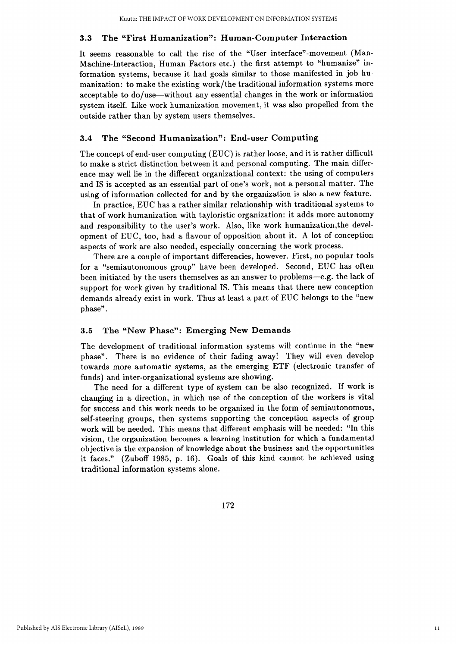#### The "First Humanization": Human-Computer Interaction  $3.3$

It seems reasonable to call the rise of the "User interface"-movement (Man-Machine-Interaction, Human Factors etc.) the first attempt to "humanize" information systems, because it had goals similar to those manifested in job humanization: to make the existing work/the traditional information systems more acceptable to do/use—without any essential changes in the work or information system itself. Like work humanization movement, it was also propelled from the outside rather than by system users themselves.

#### $3.4$ The "Second Humanization": End-user Computing

The concept of end-user computing (EUC) is rather loose, and it is rather difficult to make a strict distinction between it and personal computing. The main difference may well lie in the different organizational context: the using of computers and IS is accepted as an essential part of one's work, not a personal matter. The using of information collected for and by the organization is also a new feature.

In practice, EUC has a rather similar relationship with traditional systems to that of work humanization with tayloristic organization: it adds more autonomy and responsibility to the user's work. Also, like work humanization, the development of EUC, too, had a flavour of opposition about it. A lot of conception aspects of work are also needed, especially concerning the work process.

There are a couple of important differencies, however. First, no popular tools for a "semiautonomous group" have been developed. Second, EUC has often been initiated by the users themselves as an answer to problems—e.g. the lack of support for work given by traditional IS. This means that there new conception demands already exist in work. Thus at least a part of EUC belongs to the "new phase".

#### The "New Phase": Emerging New Demands  $3.5$

The development of traditional information systems will continue in the "new phase". There is no evidence of their fading away! They will even develop towards more automatic systems, as the emerging ETF (electronic transfer of funds) and inter-organizational systems are showing.

The need for a different type of system can be also recognized. If work is changing in a direction, in which use of the conception of the workers is vital for success and this work needs to be organized in the form of semiautonomous, self-steering groups, then systems supporting the conception aspects of group work will be needed. This means that different emphasis will be needed: "In this vision, the organization becomes a learning institution for which a fundamental objective is the expansion of knowledge about the business and the opportunities it faces." (Zuboff 1985, p. 16). Goals of this kind cannot be achieved using traditional information systems alone.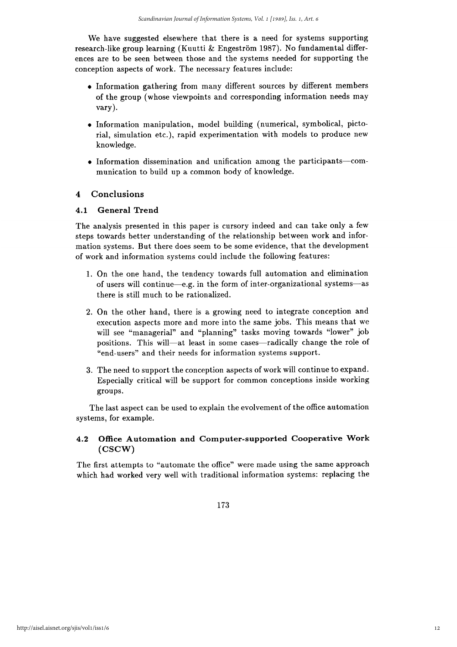We have suggested elsewhere that there is a need for systems supporting research-like group learning (Kuutti & Engeström 1987). No fundamental differences are to be seen between those and the systems needed for supporting the conception aspects of work. The necessary features include:

- · Information gathering from many different sources by different members of the group (whose viewpoints and corresponding information needs may  $vary$ ).
- Information manipulation, model building (numerical, symbolical, pictorial, simulation etc.), rapid experimentation with models to produce new knowledge.
- Information dissemination and unification among the participants-communication to build up a common body of knowledge.

#### Conclusions  $\boldsymbol{4}$

#### $4.1$ **General Trend**

The analysis presented in this paper is cursory indeed and can take only a few steps towards better understanding of the relationship between work and information systems. But there does seem to be some evidence, that the development of work and information systems could include the following features:

- 1. On the one hand, the tendency towards full automation and elimination of users will continue—e.g. in the form of inter-organizational systems—as there is still much to be rationalized.
- 2. On the other hand, there is a growing need to integrate conception and execution aspects more and more into the same jobs. This means that we will see "managerial" and "planning" tasks moving towards "lower" job positions. This will—at least in some cases—radically change the role of "end-users" and their needs for information systems support.
- 3. The need to support the conception aspects of work will continue to expand. Especially critical will be support for common conceptions inside working groups.

The last aspect can be used to explain the evolvement of the office automation systems, for example.

#### Office Automation and Computer-supported Cooperative Work  $4.2$  $(CSCW)$

The first attempts to "automate the office" were made using the same approach which had worked very well with traditional information systems: replacing the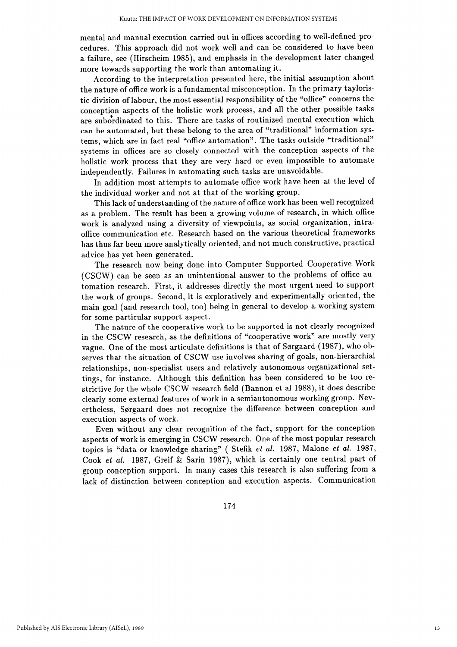mental and manual execution carried out in offices according to well-defined procedures. This approach did not work well and can be considered to have been a failure, see (Hirscheim 1985), and emphasis in the development later changed more towards supporting the work than automating it.

According to the interpretation presented here, the initial assumption about the nature of office work is a fundamental misconception. In the primary tayloristic division of labour, the most essential responsibility of the "office" concerns the conception aspects of the holistic work process, and all the other possible tasks are subordinated to this. There are tasks of routinized mental execution which can be automated, but these belong to the area of "traditional" information systems, which are in fact real "office automation". The tasks outside "traditional" systems in offices are so closely connected with the conception aspects of the holistic work process that they are very hard or even impossible to automate independently. Failures in automating such tasks are unavoidable.

In addition most attempts to automate office work have been at the level of the individual worker and not at that of the working group.

This lack of understanding of the nature of office work has been well recognized as a problem. The result has been a growing volume of research, in which office work is analyzed using a diversity of viewpoints, as social organization, intraoffice communication etc. Research based on the various theoretical frameworks has thus far been more analytically oriented, and not much constructive, practical advice has yet been generated.

The research now being done into Computer Supported Cooperative Work (CSCW) can be seen as an unintentional answer to the problems of office automation research. First, it addresses directly the most urgent need to support the work of groups. Second, it is exploratively and experimentally oriented, the main goal (and research tool, too) being in general to develop a working system for some particular support aspect.

The nature of the cooperative work to be supported is not clearly recognized in the CSCW research, as the definitions of "cooperative work" are mostly very vague. One of the most articulate definitions is that of Sørgaard (1987), who observes that the situation of CSCW use involves sharing of goals, non-hierarchial relationships, non-specialist users and relatively autonomous organizational settings, for instance. Although this definition has been considered to be too restrictive for the whole CSCW research field (Bannon et al 1988), it does describe clearly some external features of work in a semiautonomous working group. Nevertheless, Sørgaard does not recognize the difference between conception and execution aspects of work.

Even without any clear recognition of the fact, support for the conception aspects of work is emerging in CSCW research. One of the most popular research topics is "data or knowledge sharing" (Stefik et al. 1987, Malone et al. 1987, Cook et al. 1987, Greif & Sarin 1987), which is certainly one central part of group conception support. In many cases this research is also suffering from a lack of distinction between conception and execution aspects. Communication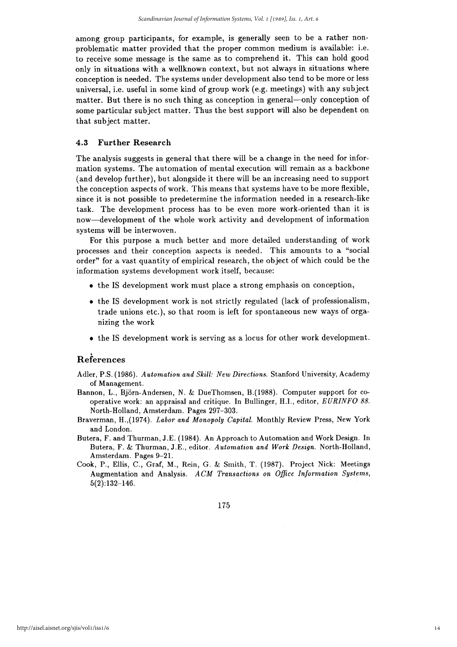among group participants, for example, is generally seen to be a rather nonproblematic matter provided that the proper common medium is available: i.e. to receive some message is the same as to comprehend it. This can hold good only in situations with a wellknown context, but not always in situations where conception is needed. The systems under development also tend to be more or less universal, i.e. useful in some kind of group work (e.g. meetings) with any subject matter. But there is no such thing as conception in general—only conception of some particular subject matter. Thus the best support will also be dependent on that subject matter.

#### 4.3 **Further Research**

The analysis suggests in general that there will be a change in the need for information systems. The automation of mental execution will remain as a backbone (and develop further), but alongside it there will be an increasing need to support the conception aspects of work. This means that systems have to be more flexible, since it is not possible to predetermine the information needed in a research-like task. The development process has to be even more work-oriented than it is now—development of the whole work activity and development of information systems will be interwoven.

For this purpose a much better and more detailed understanding of work processes and their conception aspects is needed. This amounts to a "social order" for a vast quantity of empirical research, the object of which could be the information systems development work itself, because:

- the IS development work must place a strong emphasis on conception,
- the IS development work is not strictly regulated (lack of professionalism, trade unions etc.), so that room is left for spontaneous new ways of organizing the work
- the IS development work is serving as a locus for other work development.

## References

- Adler, P.S. (1986). Automation and Skill: New Directions. Stanford University, Academy of Management.
- Bannon, L., Biörn-Andersen, N. & DueThomsen, B. (1988). Computer support for cooperative work: an appraisal and critique. In Bullinger, H.I., editor, EURINFO 88. North-Holland, Amsterdam. Pages 297-303.
- Braverman, H., (1974). Labor and Monopoly Capital. Monthly Review Press, New York and London.
- Butera, F. and Thurman, J.E. (1984). An Approach to Automation and Work Design. In Butera, F. & Thurman, J.E., editor. Automation and Work Design. North-Holland, Amsterdam. Pages 9-21.
- Cook, P., Ellis, C., Graf, M., Rein, G. & Smith, T. (1987). Project Nick: Meetings Augmentation and Analysis. ACM Transactions on Office Information Systems,  $5(2):132-146.$